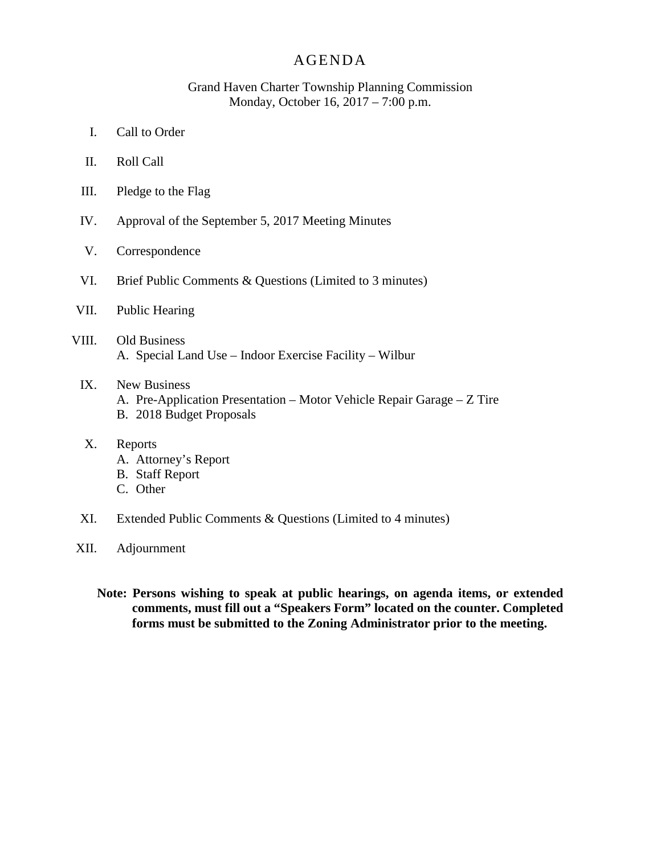## AGENDA

## Grand Haven Charter Township Planning Commission Monday, October 16, 2017 – 7:00 p.m.

- I. Call to Order
- II. Roll Call
- III. Pledge to the Flag
- IV. Approval of the September 5, 2017 Meeting Minutes
- V. Correspondence
- VI. Brief Public Comments & Questions (Limited to 3 minutes)
- VII. Public Hearing
- VIII. Old Business A. Special Land Use – Indoor Exercise Facility – Wilbur
	- IX. New Business
		- A. Pre-Application Presentation Motor Vehicle Repair Garage Z Tire
		- B. 2018 Budget Proposals
	- X. Reports
		- A. Attorney's Report
		- B. Staff Report
		- C. Other
	- XI. Extended Public Comments & Questions (Limited to 4 minutes)
- XII. Adjournment
	- **Note: Persons wishing to speak at public hearings, on agenda items, or extended comments, must fill out a "Speakers Form" located on the counter. Completed forms must be submitted to the Zoning Administrator prior to the meeting.**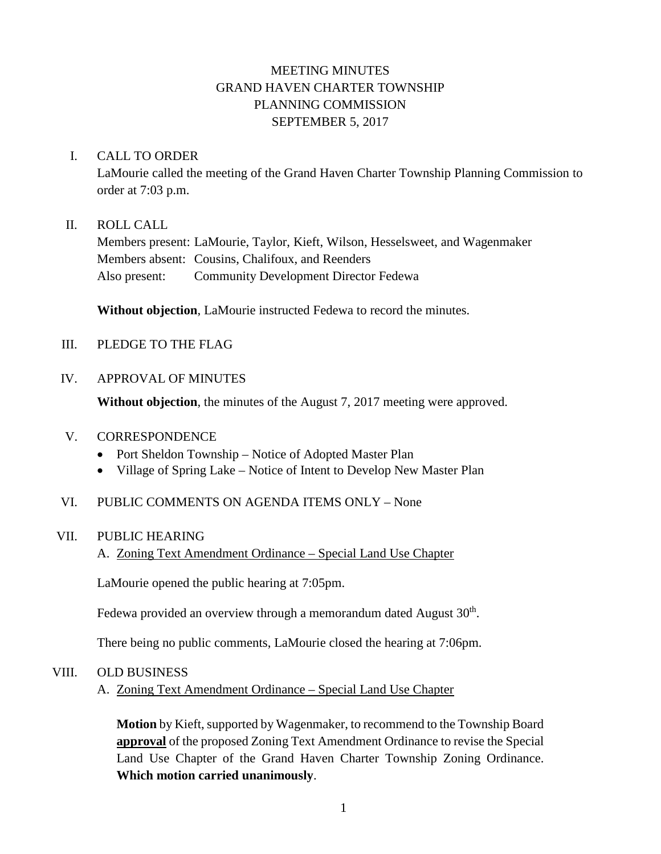## MEETING MINUTES GRAND HAVEN CHARTER TOWNSHIP PLANNING COMMISSION SEPTEMBER 5, 2017

## I. CALL TO ORDER

LaMourie called the meeting of the Grand Haven Charter Township Planning Commission to order at 7:03 p.m.

## II. ROLL CALL

Members present: LaMourie, Taylor, Kieft, Wilson, Hesselsweet, and Wagenmaker Members absent: Cousins, Chalifoux, and Reenders Also present: Community Development Director Fedewa

**Without objection**, LaMourie instructed Fedewa to record the minutes.

## III. PLEDGE TO THE FLAG

## IV. APPROVAL OF MINUTES

**Without objection**, the minutes of the August 7, 2017 meeting were approved.

## V. CORRESPONDENCE

- Port Sheldon Township Notice of Adopted Master Plan
- Village of Spring Lake Notice of Intent to Develop New Master Plan

## VI. PUBLIC COMMENTS ON AGENDA ITEMS ONLY – None

#### VII. PUBLIC HEARING

A. Zoning Text Amendment Ordinance – Special Land Use Chapter

LaMourie opened the public hearing at 7:05pm.

Fedewa provided an overview through a memorandum dated August  $30<sup>th</sup>$ .

There being no public comments, LaMourie closed the hearing at 7:06pm.

#### VIII. OLD BUSINESS

## A. Zoning Text Amendment Ordinance – Special Land Use Chapter

**Motion** by Kieft, supported by Wagenmaker, to recommend to the Township Board **approval** of the proposed Zoning Text Amendment Ordinance to revise the Special Land Use Chapter of the Grand Haven Charter Township Zoning Ordinance. **Which motion carried unanimously**.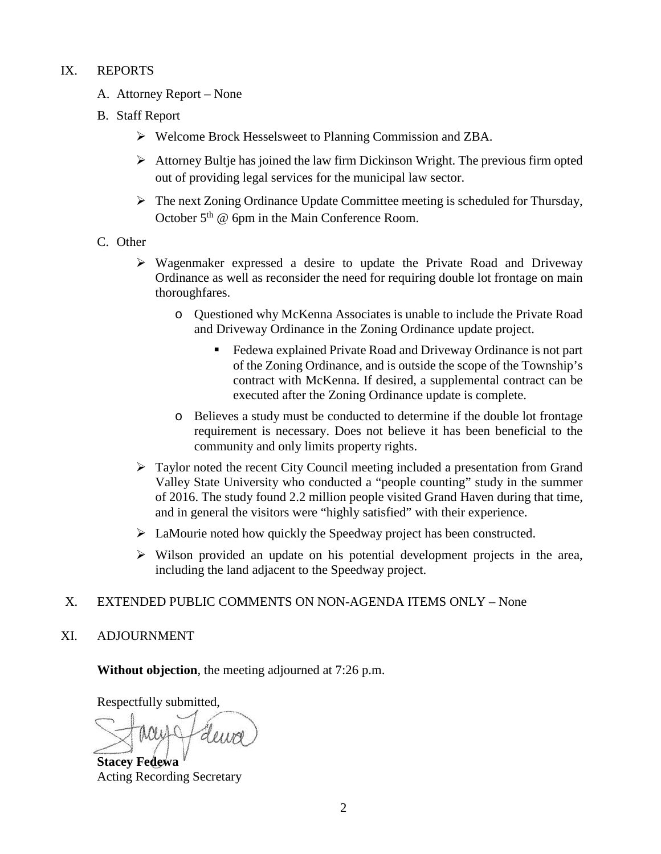## IX. REPORTS

- A. Attorney Report None
- B. Staff Report
	- Welcome Brock Hesselsweet to Planning Commission and ZBA.
	- $\triangleright$  Attorney Bultje has joined the law firm Dickinson Wright. The previous firm opted out of providing legal services for the municipal law sector.
	- The next Zoning Ordinance Update Committee meeting is scheduled for Thursday, October  $5<sup>th</sup>$  @ 6pm in the Main Conference Room.
- C. Other
	- $\triangleright$  Wagenmaker expressed a desire to update the Private Road and Driveway Ordinance as well as reconsider the need for requiring double lot frontage on main thoroughfares.
		- o Questioned why McKenna Associates is unable to include the Private Road and Driveway Ordinance in the Zoning Ordinance update project.
			- Fedewa explained Private Road and Driveway Ordinance is not part of the Zoning Ordinance, and is outside the scope of the Township's contract with McKenna. If desired, a supplemental contract can be executed after the Zoning Ordinance update is complete.
		- o Believes a study must be conducted to determine if the double lot frontage requirement is necessary. Does not believe it has been beneficial to the community and only limits property rights.
	- Taylor noted the recent City Council meeting included a presentation from Grand Valley State University who conducted a "people counting" study in the summer of 2016. The study found 2.2 million people visited Grand Haven during that time, and in general the visitors were "highly satisfied" with their experience.
	- > LaMourie noted how quickly the Speedway project has been constructed.
	- $\triangleright$  Wilson provided an update on his potential development projects in the area, including the land adjacent to the Speedway project.

## X. EXTENDED PUBLIC COMMENTS ON NON-AGENDA ITEMS ONLY – None

XI. ADJOURNMENT

**Without objection**, the meeting adjourned at 7:26 p.m.

Respectfully submitted,

Heure

**Stacey Fedewa** Acting Recording Secretary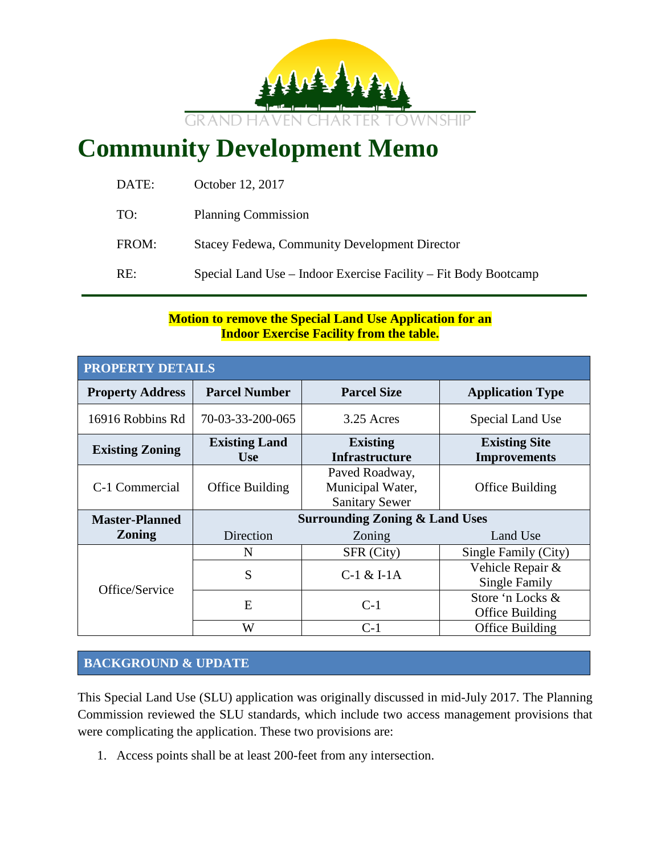

# **Community Development Memo**

| DATE: | October 12, 2017                                                |
|-------|-----------------------------------------------------------------|
| TO:   | <b>Planning Commission</b>                                      |
| FROM: | <b>Stacey Fedewa, Community Development Director</b>            |
| RE:   | Special Land Use – Indoor Exercise Facility – Fit Body Bootcamp |
|       |                                                                 |

## **Motion to remove the Special Land Use Application for an Indoor Exercise Facility from the table.**

| <b>PROPERTY DETAILS</b> |                                    |                                                             |                                             |
|-------------------------|------------------------------------|-------------------------------------------------------------|---------------------------------------------|
| <b>Property Address</b> | <b>Parcel Number</b>               | <b>Parcel Size</b>                                          | <b>Application Type</b>                     |
| 16916 Robbins Rd        | 70-03-33-200-065                   | 3.25 Acres                                                  | Special Land Use                            |
| <b>Existing Zoning</b>  | <b>Existing Land</b><br><b>Use</b> | <b>Existing</b><br><b>Infrastructure</b>                    | <b>Existing Site</b><br><b>Improvements</b> |
| C-1 Commercial          | Office Building                    | Paved Roadway,<br>Municipal Water,<br><b>Sanitary Sewer</b> | Office Building                             |
| <b>Master-Planned</b>   |                                    | <b>Surrounding Zoning &amp; Land Uses</b>                   |                                             |
| <b>Zoning</b>           | Direction                          | Zoning                                                      | Land Use                                    |
|                         | N                                  | SFR (City)                                                  | Single Family (City)                        |
| Office/Service          | S                                  | $C-1$ & I-1A                                                | Vehicle Repair &<br><b>Single Family</b>    |
|                         | E                                  | $C-1$                                                       | Store 'n Locks &<br>Office Building         |
|                         | W                                  | $C-1$                                                       | Office Building                             |

## **BACKGROUND & UPDATE**

This Special Land Use (SLU) application was originally discussed in mid-July 2017. The Planning Commission reviewed the SLU standards, which include two access management provisions that were complicating the application. These two provisions are:

1. Access points shall be at least 200-feet from any intersection.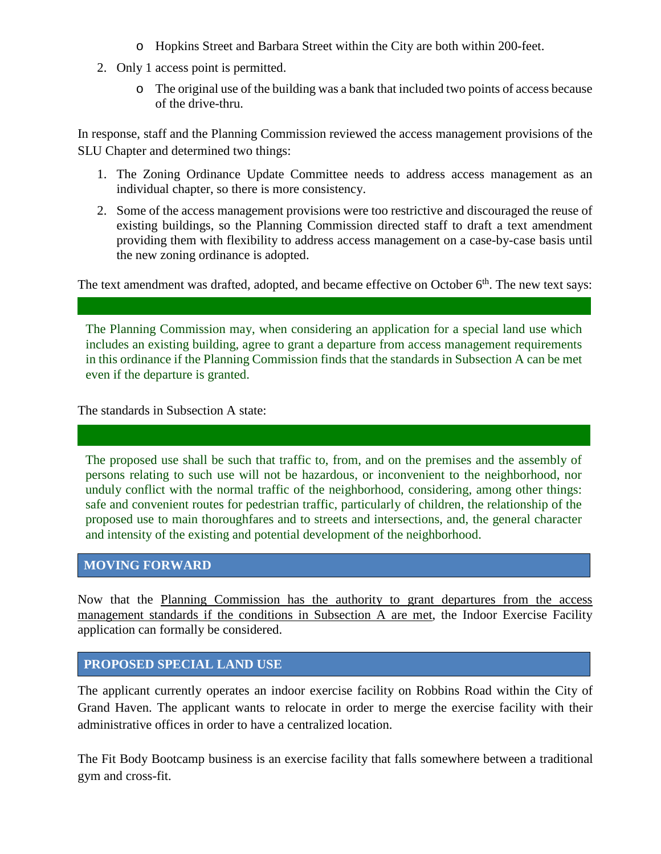- o Hopkins Street and Barbara Street within the City are both within 200-feet.
- 2. Only 1 access point is permitted.
	- o The original use of the building was a bank that included two points of access because of the drive-thru.

In response, staff and the Planning Commission reviewed the access management provisions of the SLU Chapter and determined two things:

- 1. The Zoning Ordinance Update Committee needs to address access management as an individual chapter, so there is more consistency.
- 2. Some of the access management provisions were too restrictive and discouraged the reuse of existing buildings, so the Planning Commission directed staff to draft a text amendment providing them with flexibility to address access management on a case-by-case basis until the new zoning ordinance is adopted.

The text amendment was drafted, adopted, and became effective on October  $6<sup>th</sup>$ . The new text says:

The Planning Commission may, when considering an application for a special land use which includes an existing building, agree to grant a departure from access management requirements in this ordinance if the Planning Commission finds that the standards in Subsection A can be met even if the departure is granted.

The standards in Subsection A state:

The proposed use shall be such that traffic to, from, and on the premises and the assembly of persons relating to such use will not be hazardous, or inconvenient to the neighborhood, nor unduly conflict with the normal traffic of the neighborhood, considering, among other things: safe and convenient routes for pedestrian traffic, particularly of children, the relationship of the proposed use to main thoroughfares and to streets and intersections, and, the general character and intensity of the existing and potential development of the neighborhood.

## **MOVING FORWARD**

Now that the Planning Commission has the authority to grant departures from the access management standards if the conditions in Subsection A are met, the Indoor Exercise Facility application can formally be considered.

#### **PROPOSED SPECIAL LAND USE**

The applicant currently operates an indoor exercise facility on Robbins Road within the City of Grand Haven. The applicant wants to relocate in order to merge the exercise facility with their administrative offices in order to have a centralized location.

The Fit Body Bootcamp business is an exercise facility that falls somewhere between a traditional gym and cross-fit.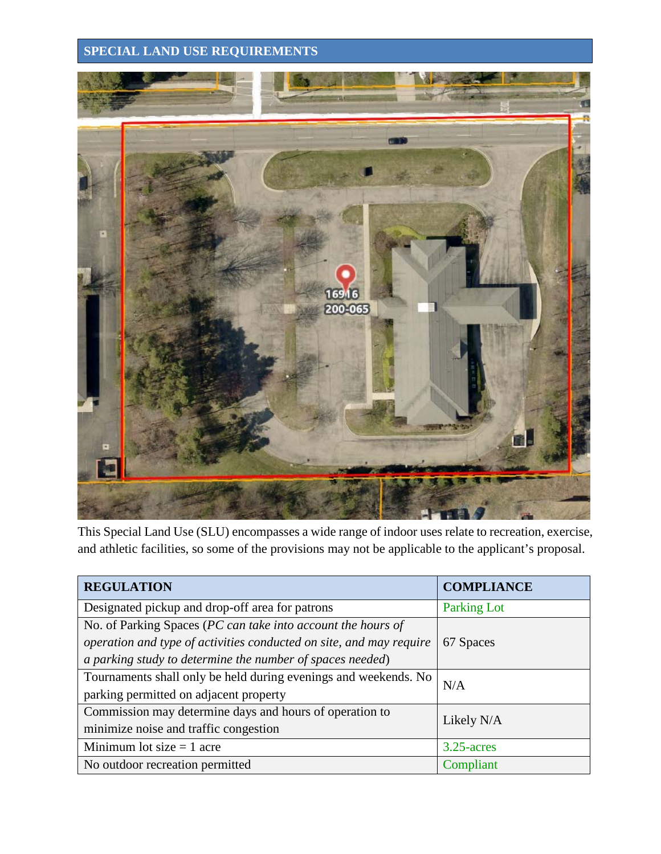## **SPECIAL LAND USE REQUIREMENTS**



This Special Land Use (SLU) encompasses a wide range of indoor uses relate to recreation, exercise, and athletic facilities, so some of the provisions may not be applicable to the applicant's proposal.

| <b>REGULATION</b>                                                   | <b>COMPLIANCE</b>  |  |
|---------------------------------------------------------------------|--------------------|--|
| Designated pickup and drop-off area for patrons                     | <b>Parking Lot</b> |  |
| No. of Parking Spaces (PC can take into account the hours of        |                    |  |
| operation and type of activities conducted on site, and may require | 67 Spaces          |  |
| a parking study to determine the number of spaces needed)           |                    |  |
| Tournaments shall only be held during evenings and weekends. No     | N/A                |  |
| parking permitted on adjacent property                              |                    |  |
| Commission may determine days and hours of operation to             | Likely N/A         |  |
| minimize noise and traffic congestion                               |                    |  |
| Minimum lot size $= 1$ acre                                         | $3.25$ -acres      |  |
| No outdoor recreation permitted                                     | Compliant          |  |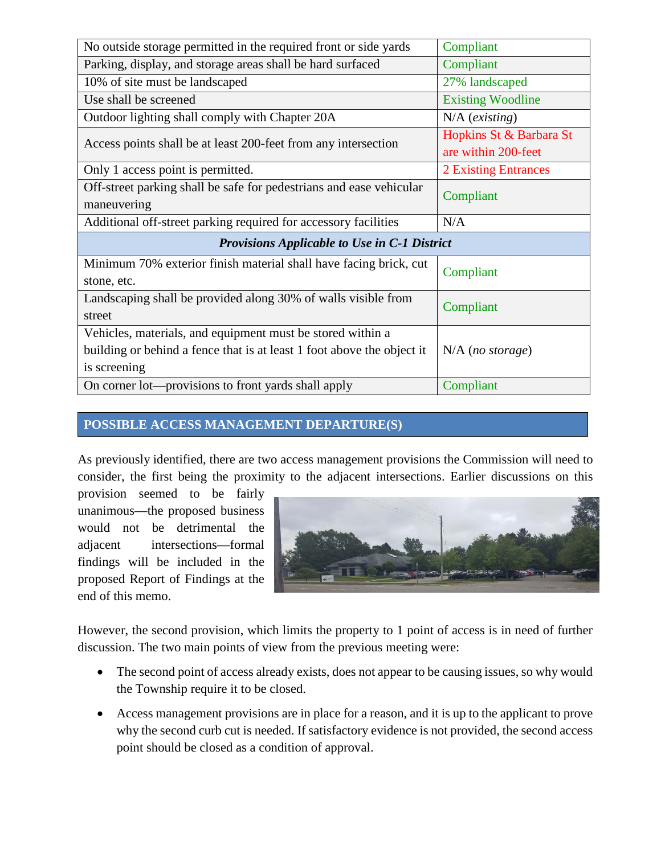| No outside storage permitted in the required front or side yards       | Compliant                   |  |
|------------------------------------------------------------------------|-----------------------------|--|
| Parking, display, and storage areas shall be hard surfaced             | Compliant                   |  |
| 10% of site must be landscaped                                         | 27% landscaped              |  |
| Use shall be screened                                                  | <b>Existing Woodline</b>    |  |
| Outdoor lighting shall comply with Chapter 20A                         | $N/A$ (existing)            |  |
| Access points shall be at least 200-feet from any intersection         | Hopkins St & Barbara St     |  |
|                                                                        | are within 200-feet         |  |
| Only 1 access point is permitted.                                      | <b>2 Existing Entrances</b> |  |
| Off-street parking shall be safe for pedestrians and ease vehicular    | Compliant                   |  |
| maneuvering                                                            |                             |  |
| Additional off-street parking required for accessory facilities        | N/A                         |  |
| <b>Provisions Applicable to Use in C-1 District</b>                    |                             |  |
| Minimum 70% exterior finish material shall have facing brick, cut      | Compliant                   |  |
| stone, etc.                                                            |                             |  |
| Landscaping shall be provided along 30% of walls visible from          | Compliant                   |  |
| street                                                                 |                             |  |
| Vehicles, materials, and equipment must be stored within a             |                             |  |
| building or behind a fence that is at least 1 foot above the object it | $N/A$ (no storage)          |  |
| is screening                                                           |                             |  |
| On corner lot—provisions to front yards shall apply                    | Compliant                   |  |

## **POSSIBLE ACCESS MANAGEMENT DEPARTURE(S)**

As previously identified, there are two access management provisions the Commission will need to consider, the first being the proximity to the adjacent intersections. Earlier discussions on this

provision seemed to be fairly unanimous—the proposed business would not be detrimental the adjacent intersections—formal findings will be included in the proposed Report of Findings at the end of this memo.



However, the second provision, which limits the property to 1 point of access is in need of further discussion. The two main points of view from the previous meeting were:

- The second point of access already exists, does not appear to be causing issues, so why would the Township require it to be closed.
- Access management provisions are in place for a reason, and it is up to the applicant to prove why the second curb cut is needed. If satisfactory evidence is not provided, the second access point should be closed as a condition of approval.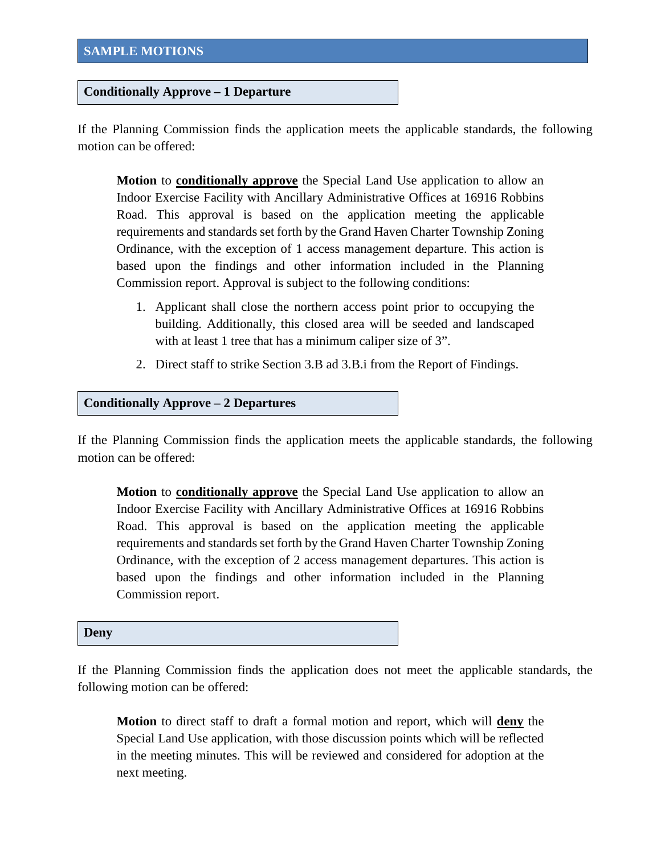#### **Conditionally Approve – 1 Departure**

If the Planning Commission finds the application meets the applicable standards, the following motion can be offered:

**Motion** to **conditionally approve** the Special Land Use application to allow an Indoor Exercise Facility with Ancillary Administrative Offices at 16916 Robbins Road. This approval is based on the application meeting the applicable requirements and standards set forth by the Grand Haven Charter Township Zoning Ordinance, with the exception of 1 access management departure. This action is based upon the findings and other information included in the Planning Commission report. Approval is subject to the following conditions:

- 1. Applicant shall close the northern access point prior to occupying the building. Additionally, this closed area will be seeded and landscaped with at least 1 tree that has a minimum caliper size of 3".
- 2. Direct staff to strike Section 3.B ad 3.B.i from the Report of Findings.

#### **Conditionally Approve – 2 Departures**

If the Planning Commission finds the application meets the applicable standards, the following motion can be offered:

**Motion** to **conditionally approve** the Special Land Use application to allow an Indoor Exercise Facility with Ancillary Administrative Offices at 16916 Robbins Road. This approval is based on the application meeting the applicable requirements and standards set forth by the Grand Haven Charter Township Zoning Ordinance, with the exception of 2 access management departures. This action is based upon the findings and other information included in the Planning Commission report.

#### **Deny**

If the Planning Commission finds the application does not meet the applicable standards, the following motion can be offered:

**Motion** to direct staff to draft a formal motion and report, which will **deny** the Special Land Use application, with those discussion points which will be reflected in the meeting minutes. This will be reviewed and considered for adoption at the next meeting.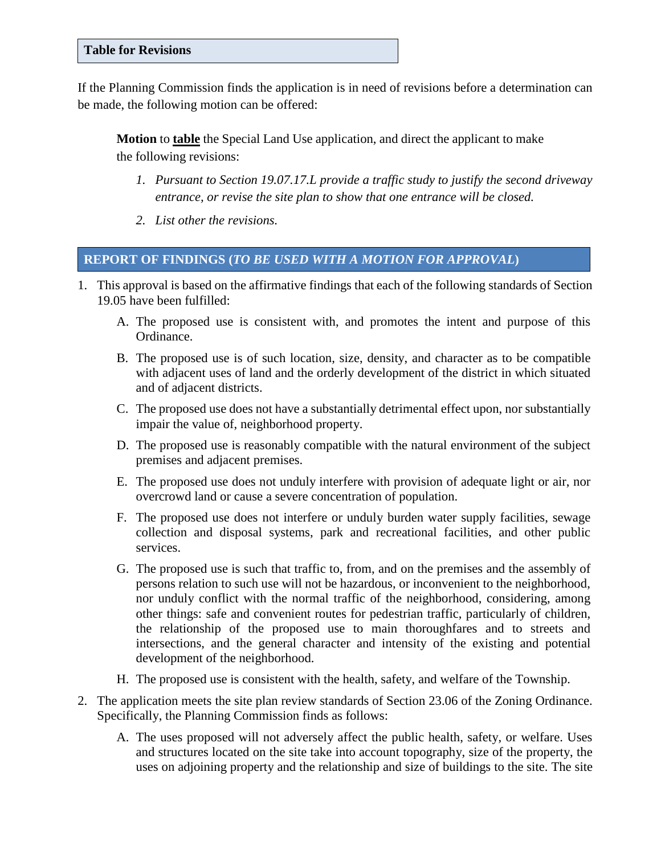#### **Table for Revisions**

If the Planning Commission finds the application is in need of revisions before a determination can be made, the following motion can be offered:

**Motion** to **table** the Special Land Use application, and direct the applicant to make the following revisions:

- *1. Pursuant to Section 19.07.17.L provide a traffic study to justify the second driveway entrance, or revise the site plan to show that one entrance will be closed.*
- *2. List other the revisions.*

## **REPORT OF FINDINGS (***TO BE USED WITH A MOTION FOR APPROVAL***)**

- 1. This approval is based on the affirmative findings that each of the following standards of Section 19.05 have been fulfilled:
	- A. The proposed use is consistent with, and promotes the intent and purpose of this Ordinance.
	- B. The proposed use is of such location, size, density, and character as to be compatible with adjacent uses of land and the orderly development of the district in which situated and of adjacent districts.
	- C. The proposed use does not have a substantially detrimental effect upon, nor substantially impair the value of, neighborhood property.
	- D. The proposed use is reasonably compatible with the natural environment of the subject premises and adjacent premises.
	- E. The proposed use does not unduly interfere with provision of adequate light or air, nor overcrowd land or cause a severe concentration of population.
	- F. The proposed use does not interfere or unduly burden water supply facilities, sewage collection and disposal systems, park and recreational facilities, and other public services.
	- G. The proposed use is such that traffic to, from, and on the premises and the assembly of persons relation to such use will not be hazardous, or inconvenient to the neighborhood, nor unduly conflict with the normal traffic of the neighborhood, considering, among other things: safe and convenient routes for pedestrian traffic, particularly of children, the relationship of the proposed use to main thoroughfares and to streets and intersections, and the general character and intensity of the existing and potential development of the neighborhood.
	- H. The proposed use is consistent with the health, safety, and welfare of the Township.
- 2. The application meets the site plan review standards of Section 23.06 of the Zoning Ordinance. Specifically, the Planning Commission finds as follows:
	- A. The uses proposed will not adversely affect the public health, safety, or welfare. Uses and structures located on the site take into account topography, size of the property, the uses on adjoining property and the relationship and size of buildings to the site. The site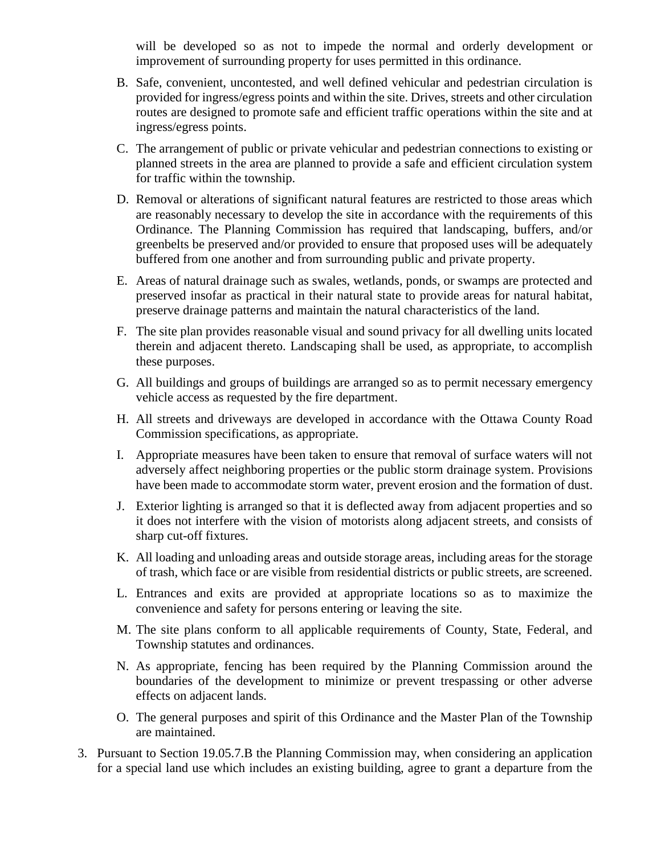will be developed so as not to impede the normal and orderly development or improvement of surrounding property for uses permitted in this ordinance.

- B. Safe, convenient, uncontested, and well defined vehicular and pedestrian circulation is provided for ingress/egress points and within the site. Drives, streets and other circulation routes are designed to promote safe and efficient traffic operations within the site and at ingress/egress points.
- C. The arrangement of public or private vehicular and pedestrian connections to existing or planned streets in the area are planned to provide a safe and efficient circulation system for traffic within the township.
- D. Removal or alterations of significant natural features are restricted to those areas which are reasonably necessary to develop the site in accordance with the requirements of this Ordinance. The Planning Commission has required that landscaping, buffers, and/or greenbelts be preserved and/or provided to ensure that proposed uses will be adequately buffered from one another and from surrounding public and private property.
- E. Areas of natural drainage such as swales, wetlands, ponds, or swamps are protected and preserved insofar as practical in their natural state to provide areas for natural habitat, preserve drainage patterns and maintain the natural characteristics of the land.
- F. The site plan provides reasonable visual and sound privacy for all dwelling units located therein and adjacent thereto. Landscaping shall be used, as appropriate, to accomplish these purposes.
- G. All buildings and groups of buildings are arranged so as to permit necessary emergency vehicle access as requested by the fire department.
- H. All streets and driveways are developed in accordance with the Ottawa County Road Commission specifications, as appropriate.
- I. Appropriate measures have been taken to ensure that removal of surface waters will not adversely affect neighboring properties or the public storm drainage system. Provisions have been made to accommodate storm water, prevent erosion and the formation of dust.
- J. Exterior lighting is arranged so that it is deflected away from adjacent properties and so it does not interfere with the vision of motorists along adjacent streets, and consists of sharp cut-off fixtures.
- K. All loading and unloading areas and outside storage areas, including areas for the storage of trash, which face or are visible from residential districts or public streets, are screened.
- L. Entrances and exits are provided at appropriate locations so as to maximize the convenience and safety for persons entering or leaving the site.
- M. The site plans conform to all applicable requirements of County, State, Federal, and Township statutes and ordinances.
- N. As appropriate, fencing has been required by the Planning Commission around the boundaries of the development to minimize or prevent trespassing or other adverse effects on adjacent lands.
- O. The general purposes and spirit of this Ordinance and the Master Plan of the Township are maintained.
- 3. Pursuant to Section 19.05.7.B the Planning Commission may, when considering an application for a special land use which includes an existing building, agree to grant a departure from the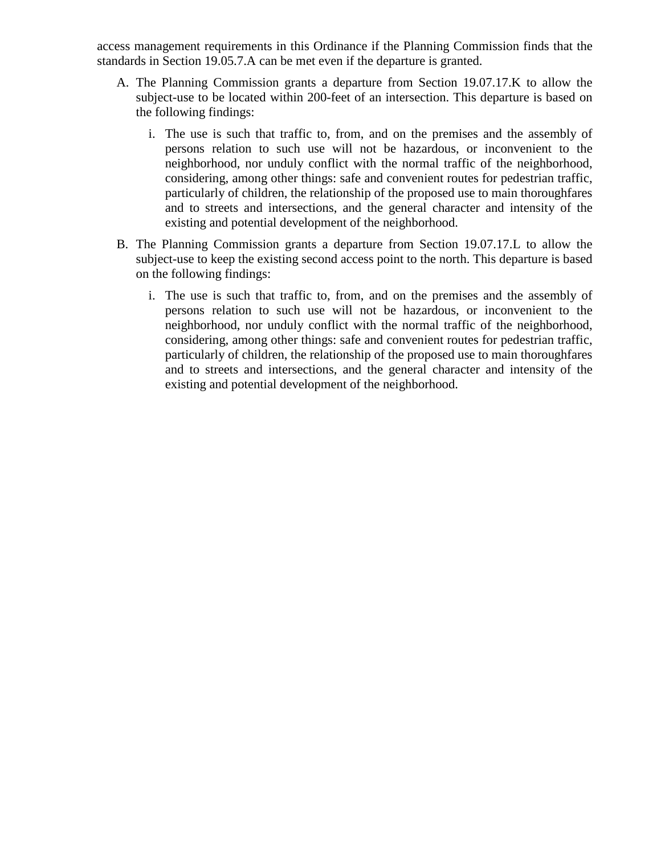access management requirements in this Ordinance if the Planning Commission finds that the standards in Section 19.05.7.A can be met even if the departure is granted.

- A. The Planning Commission grants a departure from Section 19.07.17.K to allow the subject-use to be located within 200-feet of an intersection. This departure is based on the following findings:
	- i. The use is such that traffic to, from, and on the premises and the assembly of persons relation to such use will not be hazardous, or inconvenient to the neighborhood, nor unduly conflict with the normal traffic of the neighborhood, considering, among other things: safe and convenient routes for pedestrian traffic, particularly of children, the relationship of the proposed use to main thoroughfares and to streets and intersections, and the general character and intensity of the existing and potential development of the neighborhood.
- B. The Planning Commission grants a departure from Section 19.07.17.L to allow the subject-use to keep the existing second access point to the north. This departure is based on the following findings:
	- i. The use is such that traffic to, from, and on the premises and the assembly of persons relation to such use will not be hazardous, or inconvenient to the neighborhood, nor unduly conflict with the normal traffic of the neighborhood, considering, among other things: safe and convenient routes for pedestrian traffic, particularly of children, the relationship of the proposed use to main thoroughfares and to streets and intersections, and the general character and intensity of the existing and potential development of the neighborhood.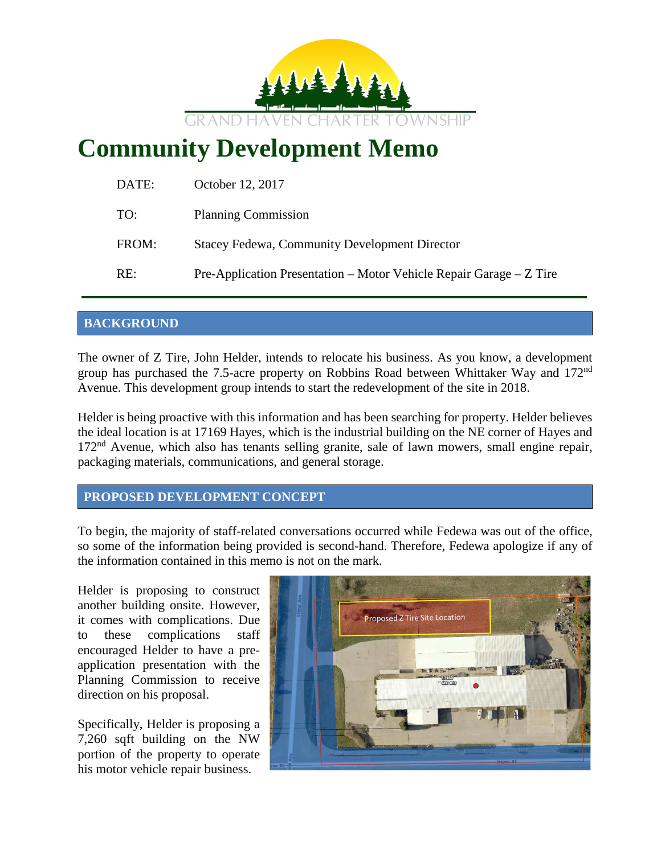

# **Community Development Memo**

| Pre-Application Presentation – Motor Vehicle Repair Garage – Z Tire |
|---------------------------------------------------------------------|
|                                                                     |

## **BACKGROUND**

The owner of Z Tire, John Helder, intends to relocate his business. As you know, a development group has purchased the 7.5-acre property on Robbins Road between Whittaker Way and 172<sup>nd</sup> Avenue. This development group intends to start the redevelopment of the site in 2018.

Helder is being proactive with this information and has been searching for property. Helder believes the ideal location is at 17169 Hayes, which is the industrial building on the NE corner of Hayes and  $172<sup>nd</sup>$  Avenue, which also has tenants selling granite, sale of lawn mowers, small engine repair, packaging materials, communications, and general storage.

**PROPOSED DEVELOPMENT CONCEPT**

To begin, the majority of staff-related conversations occurred while Fedewa was out of the office, so some of the information being provided is second-hand. Therefore, Fedewa apologize if any of the information contained in this memo is not on the mark.

Helder is proposing to construct another building onsite. However, it comes with complications. Due to these complications staff encouraged Helder to have a preapplication presentation with the Planning Commission to receive direction on his proposal.

Specifically, Helder is proposing a 7,260 sqft building on the NW portion of the property to operate his motor vehicle repair business.

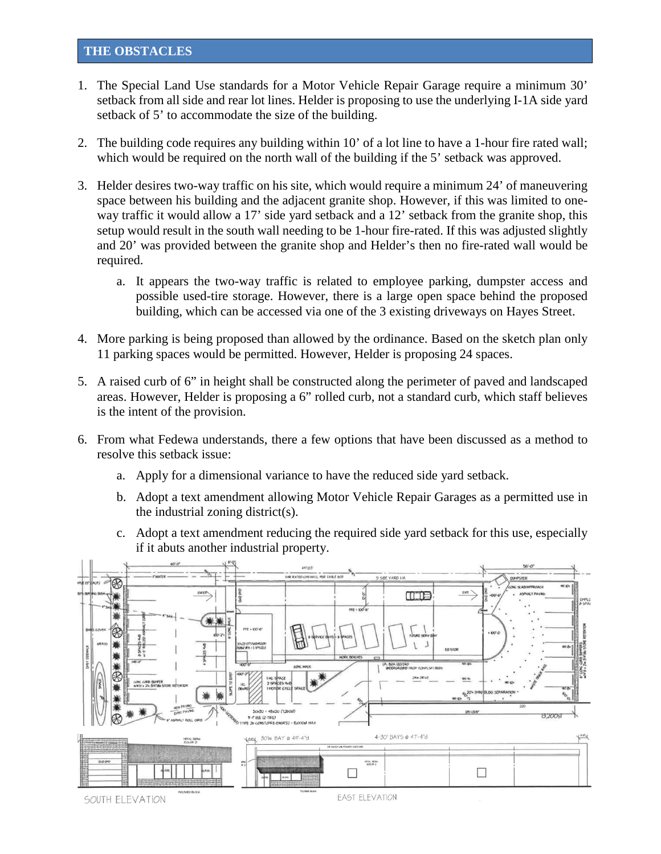#### **THE OBSTACLES**

- 1. The Special Land Use standards for a Motor Vehicle Repair Garage require a minimum 30' setback from all side and rear lot lines. Helder is proposing to use the underlying I-1A side yard setback of 5' to accommodate the size of the building.
- 2. The building code requires any building within 10' of a lot line to have a 1-hour fire rated wall; which would be required on the north wall of the building if the 5' setback was approved.
- 3. Helder desires two-way traffic on his site, which would require a minimum 24' of maneuvering space between his building and the adjacent granite shop. However, if this was limited to oneway traffic it would allow a 17' side yard setback and a 12' setback from the granite shop, this setup would result in the south wall needing to be 1-hour fire-rated. If this was adjusted slightly and 20' was provided between the granite shop and Helder's then no fire-rated wall would be required.
	- a. It appears the two-way traffic is related to employee parking, dumpster access and possible used-tire storage. However, there is a large open space behind the proposed building, which can be accessed via one of the 3 existing driveways on Hayes Street.
- 4. More parking is being proposed than allowed by the ordinance. Based on the sketch plan only 11 parking spaces would be permitted. However, Helder is proposing 24 spaces.
- 5. A raised curb of 6" in height shall be constructed along the perimeter of paved and landscaped areas. However, Helder is proposing a 6" rolled curb, not a standard curb, which staff believes is the intent of the provision.
- 6. From what Fedewa understands, there a few options that have been discussed as a method to resolve this setback issue:
	- a. Apply for a dimensional variance to have the reduced side yard setback.
	- b. Adopt a text amendment allowing Motor Vehicle Repair Garages as a permitted use in the industrial zoning district(s).
	- c. Adopt a text amendment reducing the required side yard setback for this use, especially if it abuts another industrial property.

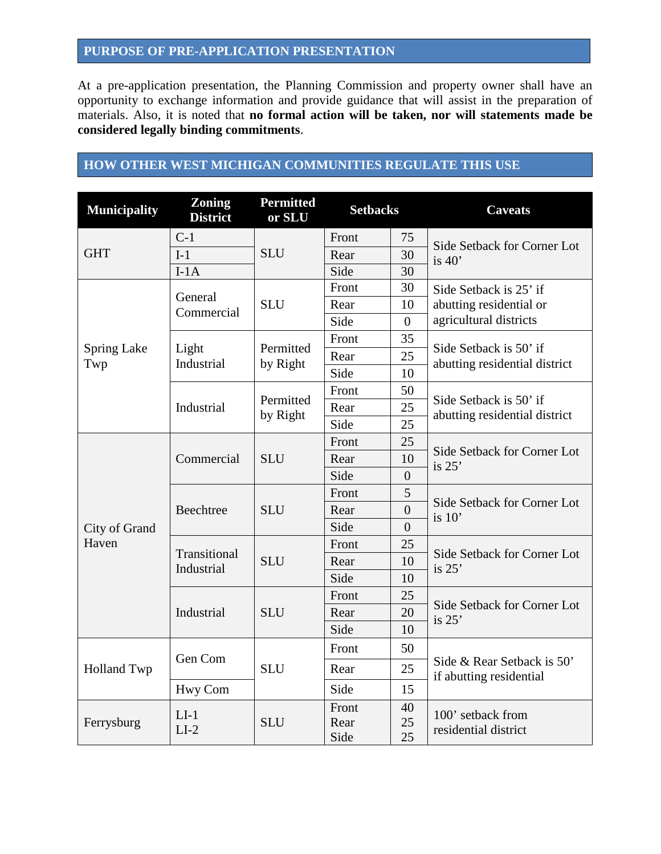## **PURPOSE OF PRE-APPLICATION PRESENTATION**

At a pre-application presentation, the Planning Commission and property owner shall have an opportunity to exchange information and provide guidance that will assist in the preparation of materials. Also, it is noted that **no formal action will be taken, nor will statements made be considered legally binding commitments**.

## **HOW OTHER WEST MICHIGAN COMMUNITIES REGULATE THIS USE**

| <b>Municipality</b>       | <b>Zoning</b><br><b>District</b> | <b>Permitted</b><br>or SLU | <b>Setbacks</b> |                | <b>Caveats</b>                                                              |
|---------------------------|----------------------------------|----------------------------|-----------------|----------------|-----------------------------------------------------------------------------|
| <b>GHT</b>                | $C-1$                            | <b>SLU</b>                 | Front           | 75             |                                                                             |
|                           | $I-1$                            |                            | Rear            | 30             | Side Setback for Corner Lot<br>is $40'$                                     |
|                           | $I-1A$                           |                            | Side            | 30             |                                                                             |
|                           | General<br>Commercial            | <b>SLU</b>                 | Front           | 30             | Side Setback is 25' if<br>abutting residential or<br>agricultural districts |
|                           |                                  |                            | Rear            | 10             |                                                                             |
|                           |                                  |                            | Side            | $\overline{0}$ |                                                                             |
|                           |                                  |                            | Front           | 35             | Side Setback is 50' if<br>abutting residential district                     |
| <b>Spring Lake</b><br>Twp | Light<br>Industrial              | Permitted<br>by Right      | Rear            | 25             |                                                                             |
|                           |                                  |                            | Side            | 10             |                                                                             |
|                           |                                  | Permitted                  | Front           | 50             |                                                                             |
|                           | Industrial                       | by Right                   | Rear            | 25             | Side Setback is 50' if<br>abutting residential district                     |
|                           |                                  |                            | Side            | 25             |                                                                             |
|                           | Commercial                       | <b>SLU</b>                 | Front           | 25             | Side Setback for Corner Lot<br>is $25'$                                     |
|                           |                                  |                            | Rear            | 10             |                                                                             |
|                           |                                  |                            | Side            | $\overline{0}$ |                                                                             |
|                           | Beechtree                        | <b>SLU</b>                 | Front           | 5              | Side Setback for Corner Lot<br>is $10'$                                     |
|                           |                                  |                            | Rear            | $\overline{0}$ |                                                                             |
| City of Grand             |                                  |                            | Side            | $\overline{0}$ |                                                                             |
| Haven                     | Transitional<br>Industrial       | <b>SLU</b>                 | Front           | 25             | Side Setback for Corner Lot<br>is $25'$                                     |
|                           |                                  |                            | Rear            | 10             |                                                                             |
|                           |                                  |                            | Side            | 10             |                                                                             |
|                           | Industrial                       | <b>SLU</b>                 | Front           | 25             | Side Setback for Corner Lot<br>is $25'$                                     |
|                           |                                  |                            | Rear            | 20             |                                                                             |
|                           |                                  |                            | Side            | 10             |                                                                             |
| <b>Holland Twp</b>        | Gen Com                          | <b>SLU</b>                 | Front           | 50             | Side & Rear Setback is 50'<br>if abutting residential                       |
|                           |                                  |                            | Rear            | 25             |                                                                             |
|                           | Hwy Com                          |                            | Side            | 15             |                                                                             |
| Ferrysburg                | $LI-1$                           |                            | Front           | 40             | 100' setback from<br>residential district                                   |
|                           | $LI-2$                           | <b>SLU</b>                 | Rear            | 25             |                                                                             |
|                           |                                  |                            | Side            | 25             |                                                                             |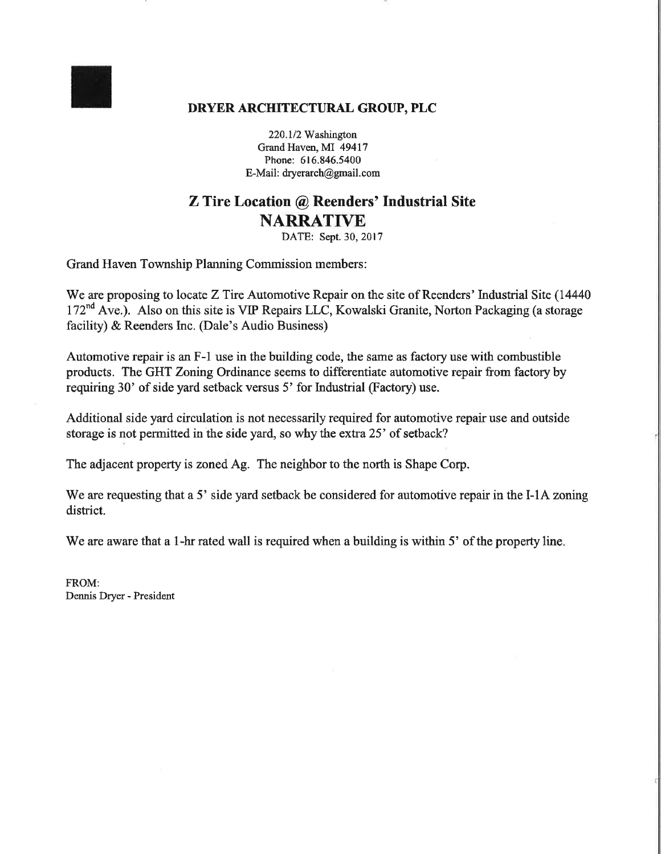## DRYER ARCHITECTURAL GROUP, PLC

220.1/2 Washington Grand Haven, MI 49417 Phone: 616.846.5400 E-Mail: dryerarch@gmail.com

## **Z** Tire Location @ Reenders' Industrial Site **NARRATIVE**

DATE: Sept. 30, 2017

**Grand Haven Township Planning Commission members:** 

We are proposing to locate Z Tire Automotive Repair on the site of Reenders' Industrial Site (14440) 172<sup>nd</sup> Ave.). Also on this site is VIP Repairs LLC, Kowalski Granite, Norton Packaging (a storage facility) & Reenders Inc. (Dale's Audio Business)

Automotive repair is an F-1 use in the building code, the same as factory use with combustible products. The GHT Zoning Ordinance seems to differentiate automotive repair from factory by requiring 30' of side yard setback versus 5' for Industrial (Factory) use.

Additional side yard circulation is not necessarily required for automotive repair use and outside storage is not permitted in the side yard, so why the extra 25' of setback?

The adjacent property is zoned Ag. The neighbor to the north is Shape Corp.

We are requesting that a 5' side yard setback be considered for automotive repair in the I-1A zoning district.

We are aware that a 1-hr rated wall is required when a building is within 5' of the property line.

FROM: Dennis Dryer - President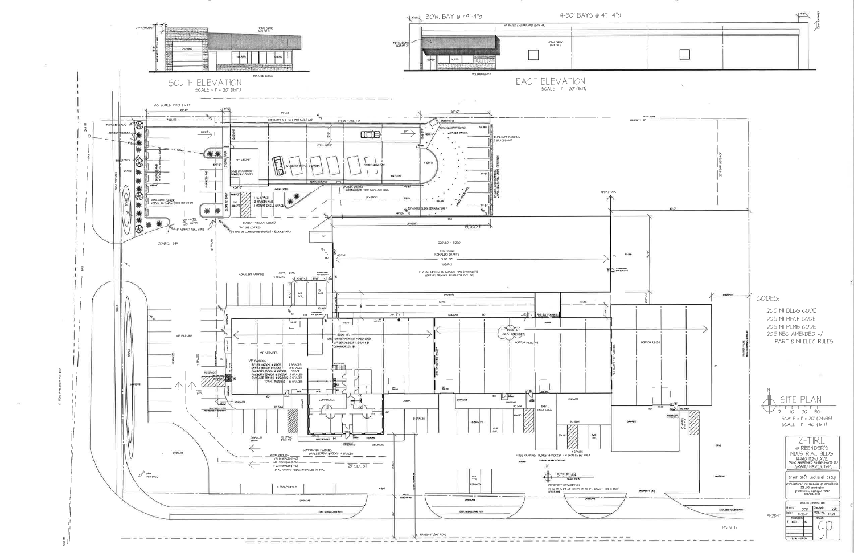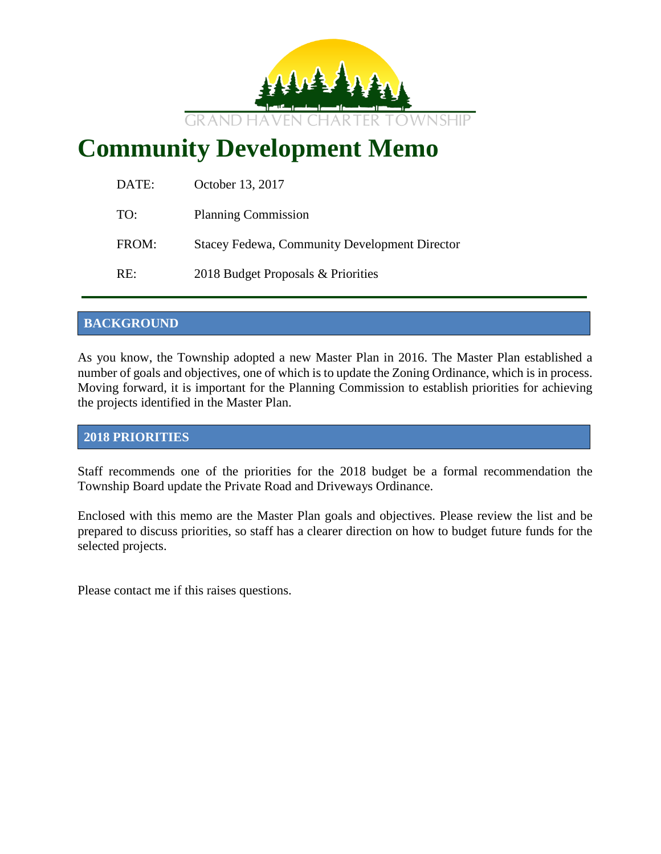

# **Community Development Memo**

| DATE: | October 13, 2017                                     |
|-------|------------------------------------------------------|
| TO:   | <b>Planning Commission</b>                           |
| FROM: | <b>Stacey Fedewa, Community Development Director</b> |
| RE:   | 2018 Budget Proposals & Priorities                   |

## **BACKGROUND**

As you know, the Township adopted a new Master Plan in 2016. The Master Plan established a number of goals and objectives, one of which is to update the Zoning Ordinance, which is in process. Moving forward, it is important for the Planning Commission to establish priorities for achieving the projects identified in the Master Plan.

## **2018 PRIORITIES**

Staff recommends one of the priorities for the 2018 budget be a formal recommendation the Township Board update the Private Road and Driveways Ordinance.

Enclosed with this memo are the Master Plan goals and objectives. Please review the list and be prepared to discuss priorities, so staff has a clearer direction on how to budget future funds for the selected projects.

Please contact me if this raises questions.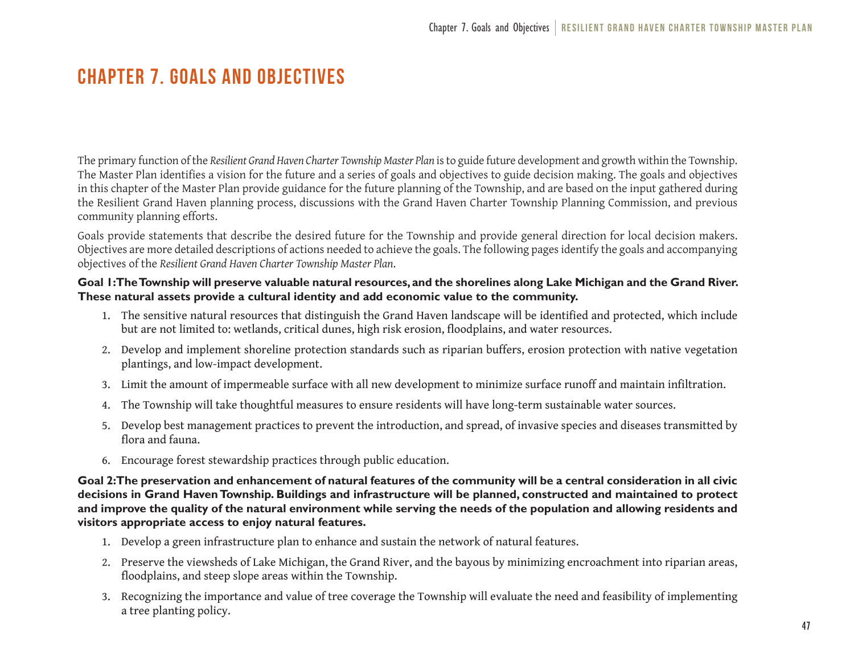## Chapter 7. Goals and Objectives

The primary function of the *Resilient Grand Haven Charter Township Master Plan* is to guide future development and growth within the Township. The Master Plan identifies a vision for the future and a series of goals and objectives to guide decision making. The goals and objectives in this chapter of the Master Plan provide guidance for the future planning of the Township, and are based on the input gathered during the Resilient Grand Haven planning process, discussions with the Grand Haven Charter Township Planning Commission, and previous community planning efforts.

Goals provide statements that describe the desired future for the Township and provide general direction for local decision makers. Objectives are more detailed descriptions of actions needed to achieve the goals. The following pages identify the goals and accompanying objectives of the *Resilient Grand Haven Charter Township Master Plan*.

#### Goal 1: The Township will preserve valuable natural resources, and the shorelines along Lake Michigan and the Grand River. **These natural assets provide a cultural identity and add economic value to the community.**

- 1. The sensitive natural resources that distinguish the Grand Haven landscape will be identified and protected, which include but are not limited to: wetlands, critical dunes, high risk erosion, floodplains, and water resources.
- 2. Develop and implement shoreline protection standards such as riparian buffers, erosion protection with native vegetation plantings, and low-impact development.
- 3. Limit the amount of impermeable surface with all new development to minimize surface runoff and maintain infiltration.
- 4. The Township will take thoughtful measures to ensure residents will have long-term sustainable water sources.
- 5. Develop best management practices to prevent the introduction, and spread, of invasive species and diseases transmitted by flora and fauna.
- 6. Encourage forest stewardship practices through public education.

**Goal 2: The preservation and enhancement of natural features of the community will be a central consideration in all civic decisions in Grand Haven Township. Buildings and infrastructure will be planned, constructed and maintained to protect and improve the quality of the natural environment while serving the needs of the population and allowing residents and visitors appropriate access to enjoy natural features.**

- 1. Develop a green infrastructure plan to enhance and sustain the network of natural features.
- 2. Preserve the viewsheds of Lake Michigan, the Grand River, and the bayous by minimizing encroachment into riparian areas, floodplains, and steep slope areas within the Township.
- 3. Recognizing the importance and value of tree coverage the Township will evaluate the need and feasibility of implementing a tree planting policy.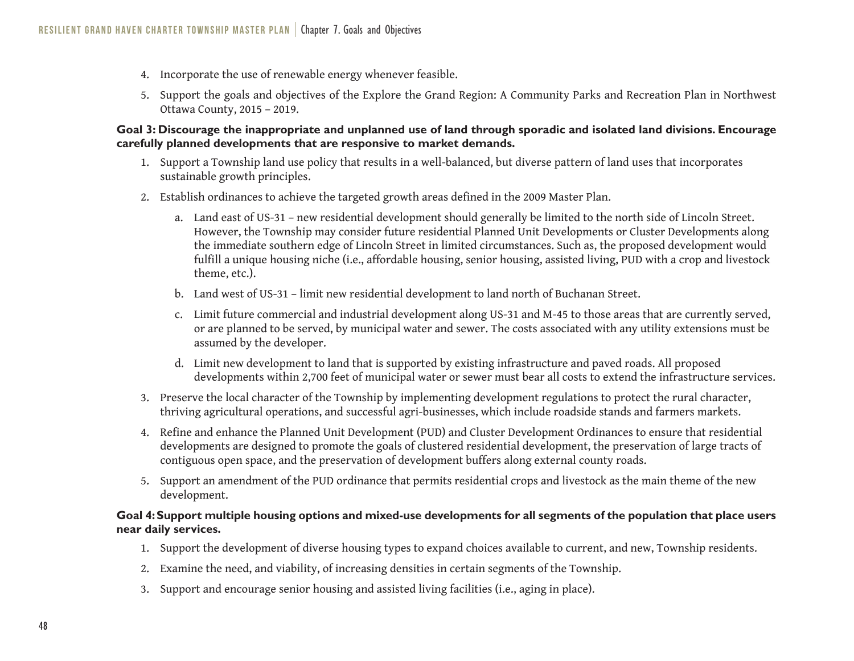- 4. Incorporate the use of renewable energy whenever feasible.
- 5. Support the goals and objectives of the Explore the Grand Region: A Community Parks and Recreation Plan in Northwest Ottawa County, 2015 – 2019.

#### **Goal 3: Discourage the inappropriate and unplanned use of land through sporadic and isolated land divisions. Encourage carefully planned developments that are responsive to market demands.**

- 1. Support a Township land use policy that results in a well-balanced, but diverse pattern of land uses that incorporates sustainable growth principles.
- 2. Establish ordinances to achieve the targeted growth areas defined in the 2009 Master Plan.
	- a. Land east of US-31 new residential development should generally be limited to the north side of Lincoln Street. However, the Township may consider future residential Planned Unit Developments or Cluster Developments along the immediate southern edge of Lincoln Street in limited circumstances. Such as, the proposed development would fulfill a unique housing niche (i.e., affordable housing, senior housing, assisted living, PUD with a crop and livestock theme, etc.).
	- b. Land west of US-31 limit new residential development to land north of Buchanan Street.
	- c. Limit future commercial and industrial development along US-31 and M-45 to those areas that are currently served, or are planned to be served, by municipal water and sewer. The costs associated with any utility extensions must be assumed by the developer.
	- d. Limit new development to land that is supported by existing infrastructure and paved roads. All proposed developments within 2,700 feet of municipal water or sewer must bear all costs to extend the infrastructure services.
- 3. Preserve the local character of the Township by implementing development regulations to protect the rural character, thriving agricultural operations, and successful agri-businesses, which include roadside stands and farmers markets.
- 4. Refine and enhance the Planned Unit Development (PUD) and Cluster Development Ordinances to ensure that residential developments are designed to promote the goals of clustered residential development, the preservation of large tracts of contiguous open space, and the preservation of development buffers along external county roads.
- 5. Support an amendment of the PUD ordinance that permits residential crops and livestock as the main theme of the new development.

#### **Goal 4: Support multiple housing options and mixed-use developments for all segments of the population that place users near daily services.**

- 1. Support the development of diverse housing types to expand choices available to current, and new, Township residents.
- 2. Examine the need, and viability, of increasing densities in certain segments of the Township.
- 3. Support and encourage senior housing and assisted living facilities (i.e., aging in place).